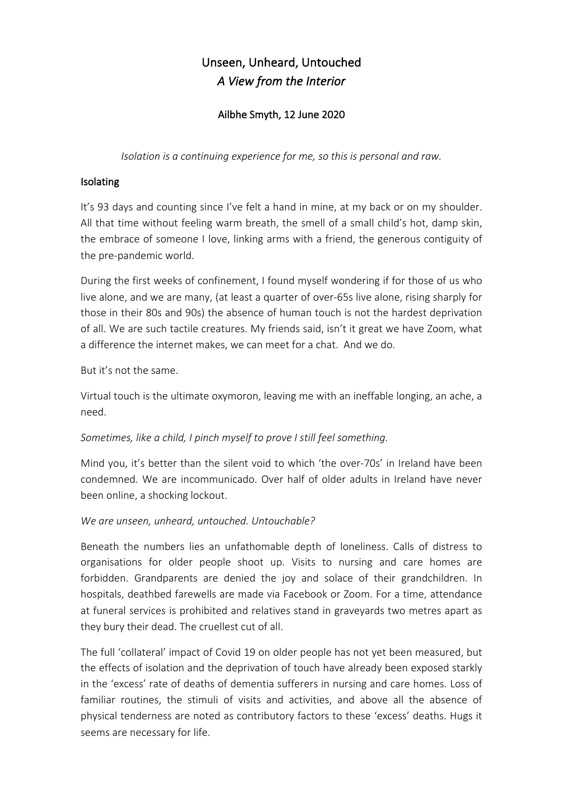# Unseen, Unheard, Untouched *A View from the Interior*

## Ailbhe Smyth, 12 June 2020

*Isolation is a continuing experience for me, so this is personal and raw.*

#### Isolating

It's 93 days and counting since I've felt a hand in mine, at my back or on my shoulder. All that time without feeling warm breath, the smell of a small child's hot, damp skin, the embrace of someone I love, linking arms with a friend, the generous contiguity of the pre-pandemic world.

During the first weeks of confinement, I found myself wondering if for those of us who live alone, and we are many, (at least a quarter of over-65s live alone, rising sharply for those in their 80s and 90s) the absence of human touch is not the hardest deprivation of all. We are such tactile creatures. My friends said, isn't it great we have Zoom, what a difference the internet makes, we can meet for a chat. And we do.

But it's not the same.

Virtual touch is the ultimate oxymoron, leaving me with an ineffable longing, an ache, a need.

#### *Sometimes, like a child, I pinch myself to prove I still feel something.*

Mind you, it's better than the silent void to which 'the over-70s' in Ireland have been condemned. We are incommunicado. Over half of older adults in Ireland have never been online, a shocking lockout.

## *We are unseen, unheard, untouched. Untouchable?*

Beneath the numbers lies an unfathomable depth of loneliness. Calls of distress to organisations for older people shoot up. Visits to nursing and care homes are forbidden. Grandparents are denied the joy and solace of their grandchildren. In hospitals, deathbed farewells are made via Facebook or Zoom. For a time, attendance at funeral services is prohibited and relatives stand in graveyards two metres apart as they bury their dead. The cruellest cut of all.

The full 'collateral' impact of Covid 19 on older people has not yet been measured, but the effects of isolation and the deprivation of touch have already been exposed starkly in the 'excess' rate of deaths of dementia sufferers in nursing and care homes. Loss of familiar routines, the stimuli of visits and activities, and above all the absence of physical tenderness are noted as contributory factors to these 'excess' deaths. Hugs it seems are necessary for life.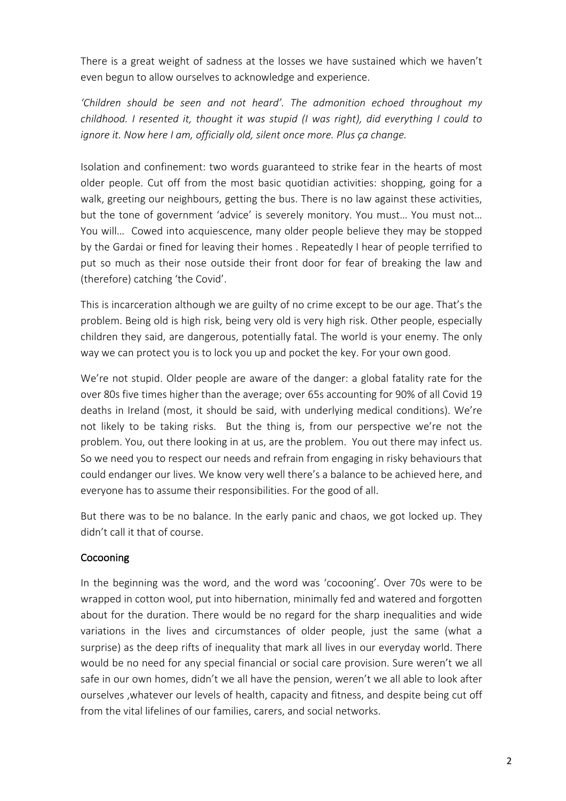There is a great weight of sadness at the losses we have sustained which we haven't even begun to allow ourselves to acknowledge and experience.

*'Children should be seen and not heard'. The admonition echoed throughout my childhood. I resented it, thought it was stupid (I was right), did everything I could to ignore it. Now here I am, officially old, silent once more. Plus ça change.*

Isolation and confinement: two words guaranteed to strike fear in the hearts of most older people. Cut off from the most basic quotidian activities: shopping, going for a walk, greeting our neighbours, getting the bus. There is no law against these activities, but the tone of government 'advice' is severely monitory. You must… You must not… You will… Cowed into acquiescence, many older people believe they may be stopped by the Gardai or fined for leaving their homes . Repeatedly I hear of people terrified to put so much as their nose outside their front door for fear of breaking the law and (therefore) catching 'the Covid'.

This is incarceration although we are guilty of no crime except to be our age. That's the problem. Being old is high risk, being very old is very high risk. Other people, especially children they said, are dangerous, potentially fatal. The world is your enemy. The only way we can protect you is to lock you up and pocket the key. For your own good.

We're not stupid. Older people are aware of the danger: a global fatality rate for the over 80s five times higher than the average; over 65s accounting for 90% of all Covid 19 deaths in Ireland (most, it should be said, with underlying medical conditions). We're not likely to be taking risks. But the thing is, from our perspective we're not the problem. You, out there looking in at us, are the problem. You out there may infect us. So we need you to respect our needs and refrain from engaging in risky behaviours that could endanger our lives. We know very well there's a balance to be achieved here, and everyone has to assume their responsibilities. For the good of all.

But there was to be no balance. In the early panic and chaos, we got locked up. They didn't call it that of course.

#### Cocooning

In the beginning was the word, and the word was 'cocooning'. Over 70s were to be wrapped in cotton wool, put into hibernation, minimally fed and watered and forgotten about for the duration. There would be no regard for the sharp inequalities and wide variations in the lives and circumstances of older people, just the same (what a surprise) as the deep rifts of inequality that mark all lives in our everyday world. There would be no need for any special financial or social care provision. Sure weren't we all safe in our own homes, didn't we all have the pension, weren't we all able to look after ourselves ,whatever our levels of health, capacity and fitness, and despite being cut off from the vital lifelines of our families, carers, and social networks.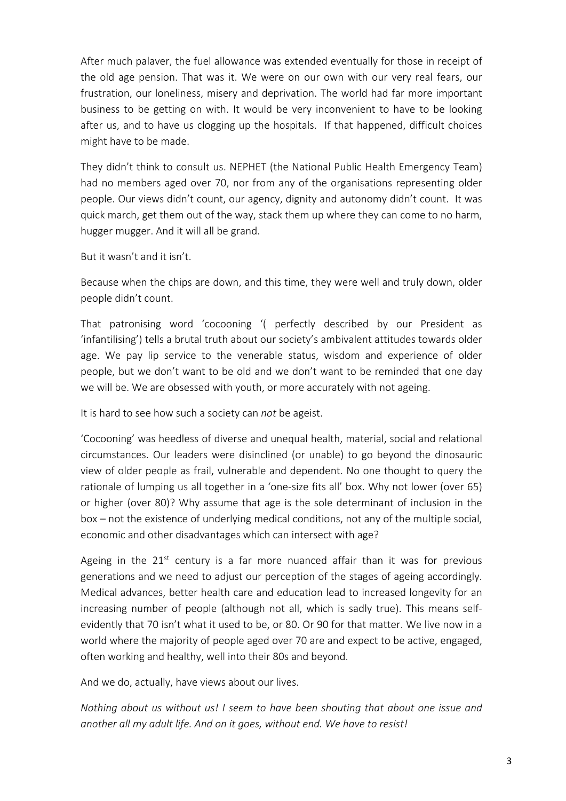After much palaver, the fuel allowance was extended eventually for those in receipt of the old age pension. That was it. We were on our own with our very real fears, our frustration, our loneliness, misery and deprivation. The world had far more important business to be getting on with. It would be very inconvenient to have to be looking after us, and to have us clogging up the hospitals. If that happened, difficult choices might have to be made.

They didn't think to consult us. NEPHET (the National Public Health Emergency Team) had no members aged over 70, nor from any of the organisations representing older people. Our views didn't count, our agency, dignity and autonomy didn't count. It was quick march, get them out of the way, stack them up where they can come to no harm, hugger mugger. And it will all be grand.

But it wasn't and it isn't.

Because when the chips are down, and this time, they were well and truly down, older people didn't count.

That patronising word 'cocooning '( perfectly described by our President as 'infantilising') tells a brutal truth about our society's ambivalent attitudes towards older age. We pay lip service to the venerable status, wisdom and experience of older people, but we don't want to be old and we don't want to be reminded that one day we will be. We are obsessed with youth, or more accurately with not ageing.

It is hard to see how such a society can *not* be ageist.

'Cocooning' was heedless of diverse and unequal health, material, social and relational circumstances. Our leaders were disinclined (or unable) to go beyond the dinosauric view of older people as frail, vulnerable and dependent. No one thought to query the rationale of lumping us all together in a 'one-size fits all' box. Why not lower (over 65) or higher (over 80)? Why assume that age is the sole determinant of inclusion in the box – not the existence of underlying medical conditions, not any of the multiple social, economic and other disadvantages which can intersect with age?

Ageing in the  $21^{st}$  century is a far more nuanced affair than it was for previous generations and we need to adjust our perception of the stages of ageing accordingly. Medical advances, better health care and education lead to increased longevity for an increasing number of people (although not all, which is sadly true). This means selfevidently that 70 isn't what it used to be, or 80. Or 90 for that matter. We live now in a world where the majority of people aged over 70 are and expect to be active, engaged, often working and healthy, well into their 80s and beyond.

And we do, actually, have views about our lives.

*Nothing about us without us! I seem to have been shouting that about one issue and another all my adult life. And on it goes, without end. We have to resist!*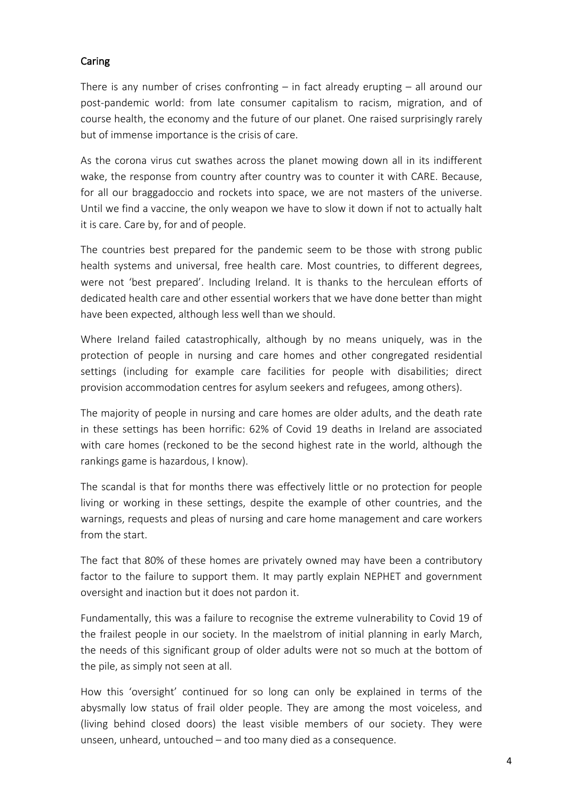#### Caring

There is any number of crises confronting  $-$  in fact already erupting  $-$  all around our post-pandemic world: from late consumer capitalism to racism, migration, and of course health, the economy and the future of our planet. One raised surprisingly rarely but of immense importance is the crisis of care.

As the corona virus cut swathes across the planet mowing down all in its indifferent wake, the response from country after country was to counter it with CARE. Because, for all our braggadoccio and rockets into space, we are not masters of the universe. Until we find a vaccine, the only weapon we have to slow it down if not to actually halt it is care. Care by, for and of people.

The countries best prepared for the pandemic seem to be those with strong public health systems and universal, free health care. Most countries, to different degrees, were not 'best prepared'. Including Ireland. It is thanks to the herculean efforts of dedicated health care and other essential workers that we have done better than might have been expected, although less well than we should.

Where Ireland failed catastrophically, although by no means uniquely, was in the protection of people in nursing and care homes and other congregated residential settings (including for example care facilities for people with disabilities; direct provision accommodation centres for asylum seekers and refugees, among others).

The majority of people in nursing and care homes are older adults, and the death rate in these settings has been horrific: 62% of Covid 19 deaths in Ireland are associated with care homes (reckoned to be the second highest rate in the world, although the rankings game is hazardous, I know).

The scandal is that for months there was effectively little or no protection for people living or working in these settings, despite the example of other countries, and the warnings, requests and pleas of nursing and care home management and care workers from the start.

The fact that 80% of these homes are privately owned may have been a contributory factor to the failure to support them. It may partly explain NEPHET and government oversight and inaction but it does not pardon it.

Fundamentally, this was a failure to recognise the extreme vulnerability to Covid 19 of the frailest people in our society. In the maelstrom of initial planning in early March, the needs of this significant group of older adults were not so much at the bottom of the pile, as simply not seen at all.

How this 'oversight' continued for so long can only be explained in terms of the abysmally low status of frail older people. They are among the most voiceless, and (living behind closed doors) the least visible members of our society. They were unseen, unheard, untouched – and too many died as a consequence.